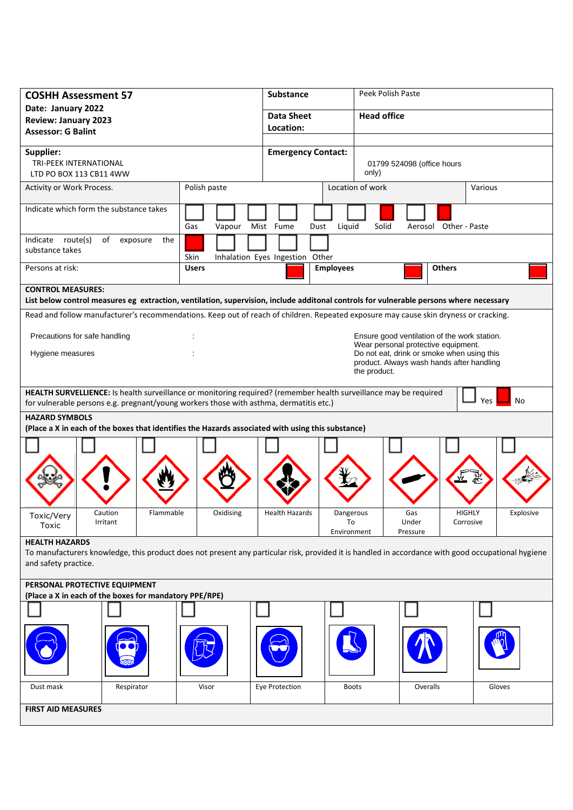| <b>COSHH Assessment 57</b><br>Date: January 2022                                                                                                                                                            | <b>Substance</b>                |                   | Peek Polish Paste                                                                       |                       |           |  |
|-------------------------------------------------------------------------------------------------------------------------------------------------------------------------------------------------------------|---------------------------------|-------------------|-----------------------------------------------------------------------------------------|-----------------------|-----------|--|
| <b>Review: January 2023</b>                                                                                                                                                                                 | <b>Data Sheet</b>               |                   | <b>Head office</b>                                                                      |                       |           |  |
| <b>Assessor: G Balint</b>                                                                                                                                                                                   | Location:                       |                   |                                                                                         |                       |           |  |
| Supplier:                                                                                                                                                                                                   | <b>Emergency Contact:</b>       |                   |                                                                                         |                       |           |  |
| TRI-PEEK INTERNATIONAL<br>LTD PO BOX 113 CB11 4WW                                                                                                                                                           |                                 |                   | 01799 524098 (office hours<br>only)                                                     |                       |           |  |
| Polish paste<br>Activity or Work Process.                                                                                                                                                                   |                                 | Location of work  |                                                                                         |                       | Various   |  |
| Indicate which form the substance takes                                                                                                                                                                     |                                 |                   |                                                                                         |                       |           |  |
| Gas                                                                                                                                                                                                         | Vapour Mist Fume                | Liquid<br>Dust    | Solid                                                                                   | Aerosol Other - Paste |           |  |
| Indicate route(s)<br>of<br>the<br>exposure<br>substance takes                                                                                                                                               |                                 |                   |                                                                                         |                       |           |  |
| Skin                                                                                                                                                                                                        | Inhalation Eyes Ingestion Other |                   |                                                                                         |                       |           |  |
| Persons at risk:<br><b>Users</b>                                                                                                                                                                            |                                 | <b>Employees</b>  |                                                                                         | <b>Others</b>         |           |  |
| <b>CONTROL MEASURES:</b><br>List below control measures eg extraction, ventilation, supervision, include additonal controls for vulnerable persons where necessary                                          |                                 |                   |                                                                                         |                       |           |  |
| Read and follow manufacturer's recommendations. Keep out of reach of children. Repeated exposure may cause skin dryness or cracking.                                                                        |                                 |                   |                                                                                         |                       |           |  |
|                                                                                                                                                                                                             |                                 |                   |                                                                                         |                       |           |  |
| Precautions for safe handling                                                                                                                                                                               |                                 |                   | Ensure good ventilation of the work station.<br>Wear personal protective equipment.     |                       |           |  |
| Hygiene measures                                                                                                                                                                                            |                                 |                   | Do not eat, drink or smoke when using this<br>product. Always wash hands after handling |                       |           |  |
|                                                                                                                                                                                                             |                                 |                   | the product.                                                                            |                       |           |  |
| HEALTH SURVELLIENCE: Is health surveillance or monitoring required? (remember health surveillance may be required<br>for vulnerable persons e.g. pregnant/young workers those with asthma, dermatitis etc.) |                                 |                   |                                                                                         |                       | Yes<br>No |  |
| <b>HAZARD SYMBOLS</b><br>(Place a X in each of the boxes that identifies the Hazards associated with using this substance)                                                                                  |                                 |                   |                                                                                         |                       |           |  |
|                                                                                                                                                                                                             |                                 |                   |                                                                                         |                       |           |  |
|                                                                                                                                                                                                             |                                 |                   |                                                                                         |                       |           |  |
|                                                                                                                                                                                                             |                                 |                   |                                                                                         |                       |           |  |
|                                                                                                                                                                                                             |                                 |                   |                                                                                         |                       |           |  |
| Flammable<br>Oxidising<br>Caution<br>Toxic/Very                                                                                                                                                             | <b>Health Hazards</b>           | Dangerous         | Gas                                                                                     | <b>HIGHLY</b>         | Explosive |  |
| Irritant<br>Toxic                                                                                                                                                                                           |                                 | To<br>Environment | Under<br>Pressure                                                                       | Corrosive             |           |  |
| <b>HEALTH HAZARDS</b>                                                                                                                                                                                       |                                 |                   |                                                                                         |                       |           |  |
| To manufacturers knowledge, this product does not present any particular risk, provided it is handled in accordance with good occupational hygiene<br>and safety practice.                                  |                                 |                   |                                                                                         |                       |           |  |
| PERSONAL PROTECTIVE EQUIPMENT<br>(Place a X in each of the boxes for mandatory PPE/RPE)                                                                                                                     |                                 |                   |                                                                                         |                       |           |  |
|                                                                                                                                                                                                             |                                 |                   |                                                                                         |                       |           |  |
|                                                                                                                                                                                                             |                                 |                   |                                                                                         |                       |           |  |
|                                                                                                                                                                                                             |                                 |                   |                                                                                         |                       |           |  |
|                                                                                                                                                                                                             |                                 |                   |                                                                                         |                       |           |  |
|                                                                                                                                                                                                             |                                 |                   |                                                                                         |                       |           |  |
| Dust mask<br>Respirator<br>Visor                                                                                                                                                                            | Eye Protection                  | <b>Boots</b>      |                                                                                         | Overalls              | Gloves    |  |
| <b>FIRST AID MEASURES</b>                                                                                                                                                                                   |                                 |                   |                                                                                         |                       |           |  |
|                                                                                                                                                                                                             |                                 |                   |                                                                                         |                       |           |  |